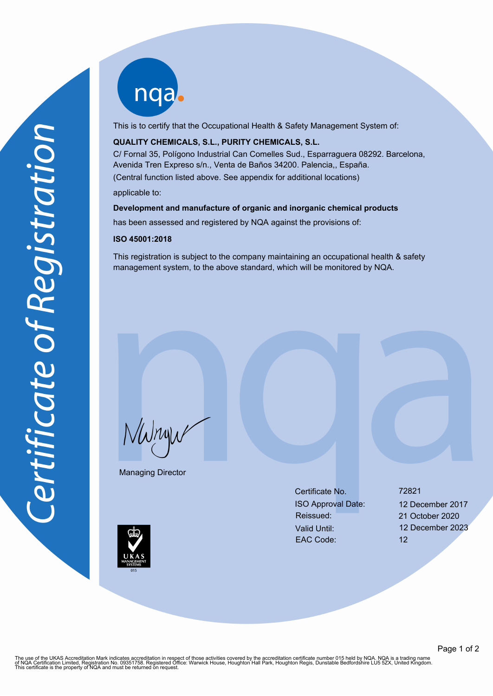nqab

This is to certify that the Occupational Health & Safety Management System of:

## **QUALITY CHEMICALS, S.L., PURITY CHEMICALS, S.L.**

C/ Fornal 35, Polígono Industrial Can Comelles Sud., Esparraguera 08292. Barcelona, Avenida Tren Expreso s/n., Venta de Baños 34200. Palencia,, España. (Central function listed above. See appendix for additional locations)

applicable to:

#### **Development and manufacture of organic and inorganic chemical products**

has been assessed and registered by NQA against the provisions of:

#### **ISO 45001:2018**

This registration is subject to the company maintaining an occupational health & safety management system, to the above standard, which will be monitored by NQA.

NWnyw

Managing Director

Certificate No. 72821 ISO Approval Date: 12 December 2017 Reissued: 21 October 2020 Valid Until: 12 December 2023 EAC Code: 12